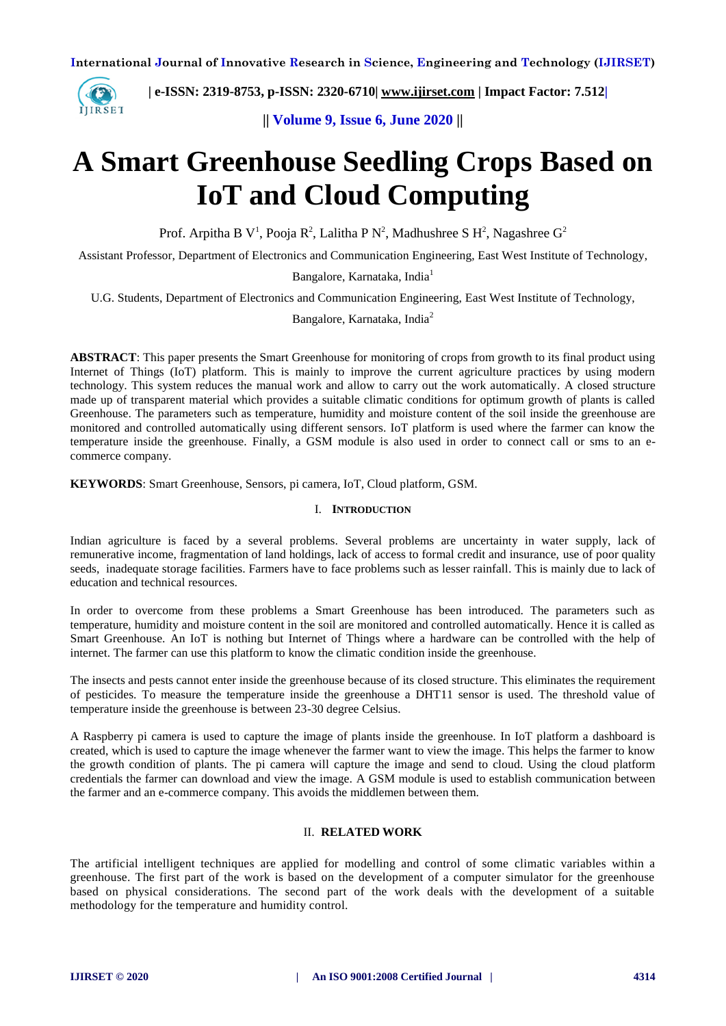

 **| e-ISSN: 2319-8753, p-ISSN: 2320-6710| [www.ijirset.com](http://www.ijirset.com/) | Impact Factor: 7.512|**

**|| Volume 9, Issue 6, June 2020 ||** 

# **A Smart Greenhouse Seedling Crops Based on IoT and Cloud Computing**

Prof. Arpitha B V<sup>1</sup>, Pooja R<sup>2</sup>, Lalitha P N<sup>2</sup>, Madhushree S H<sup>2</sup>, Nagashree G<sup>2</sup>

Assistant Professor, Department of Electronics and Communication Engineering, East West Institute of Technology,

Bangalore, Karnataka, India<sup>1</sup>

U.G. Students, Department of Electronics and Communication Engineering, East West Institute of Technology,

Bangalore, Karnataka, India<sup>2</sup>

**ABSTRACT**: This paper presents the Smart Greenhouse for monitoring of crops from growth to its final product using Internet of Things (IoT) platform. This is mainly to improve the current agriculture practices by using modern technology. This system reduces the manual work and allow to carry out the work automatically. A closed structure made up of transparent material which provides a suitable climatic conditions for optimum growth of plants is called Greenhouse. The parameters such as temperature, humidity and moisture content of the soil inside the greenhouse are monitored and controlled automatically using different sensors. IoT platform is used where the farmer can know the temperature inside the greenhouse. Finally, a GSM module is also used in order to connect call or sms to an ecommerce company.

**KEYWORDS**: Smart Greenhouse, Sensors, pi camera, IoT, Cloud platform, GSM.

#### I. **INTRODUCTION**

Indian agriculture is faced by a several problems. Several problems are uncertainty in water supply, lack of remunerative income, fragmentation of land holdings, lack of access to formal credit and insurance, use of poor quality seeds, inadequate storage facilities. Farmers have to face problems such as lesser rainfall. This is mainly due to lack of education and technical resources.

In order to overcome from these problems a Smart Greenhouse has been introduced. The parameters such as temperature, humidity and moisture content in the soil are monitored and controlled automatically. Hence it is called as Smart Greenhouse. An IoT is nothing but Internet of Things where a hardware can be controlled with the help of internet. The farmer can use this platform to know the climatic condition inside the greenhouse.

The insects and pests cannot enter inside the greenhouse because of its closed structure. This eliminates the requirement of pesticides. To measure the temperature inside the greenhouse a DHT11 sensor is used. The threshold value of temperature inside the greenhouse is between 23-30 degree Celsius.

A Raspberry pi camera is used to capture the image of plants inside the greenhouse. In IoT platform a dashboard is created, which is used to capture the image whenever the farmer want to view the image. This helps the farmer to know the growth condition of plants. The pi camera will capture the image and send to cloud. Using the cloud platform credentials the farmer can download and view the image. A GSM module is used to establish communication between the farmer and an e-commerce company. This avoids the middlemen between them.

# II. **RELATED WORK**

The artificial intelligent techniques are applied for modelling and control of some climatic variables within a greenhouse. The first part of the work is based on the development of a computer simulator for the greenhouse based on physical considerations. The second part of the work deals with the development of a suitable methodology for the temperature and humidity control.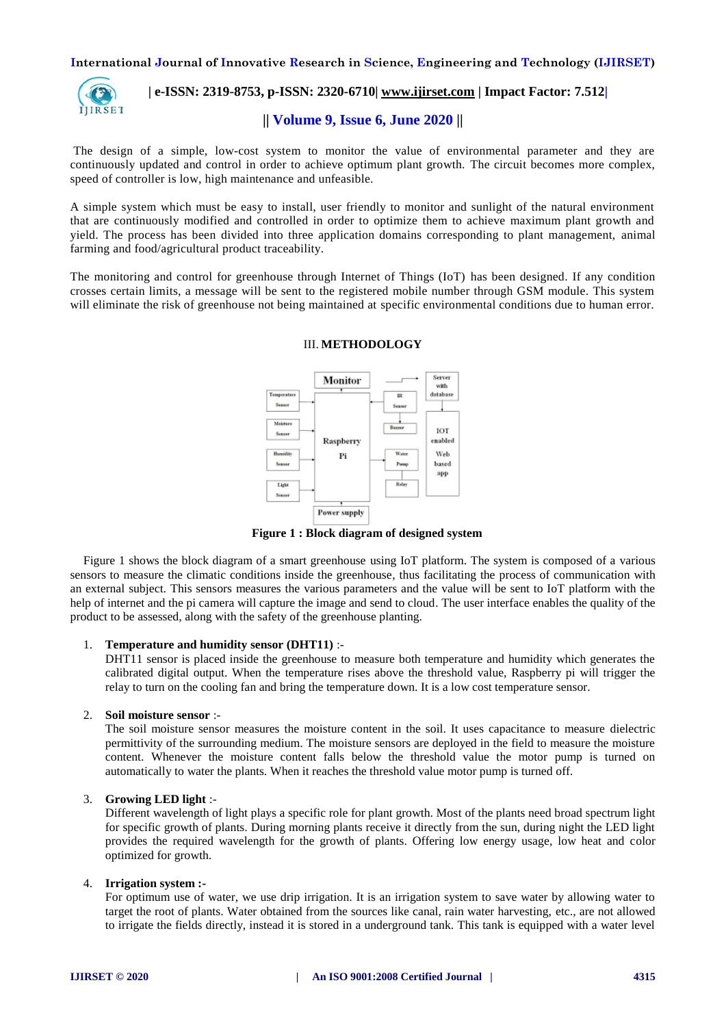

# **| e-ISSN: 2319-8753, p-ISSN: 2320-6710| [www.ijirset.com](http://www.ijirset.com/) | Impact Factor: 7.512|**

## **|| Volume 9, Issue 6, June 2020 ||**

The design of a simple, low-cost system to monitor the value of environmental parameter and they are continuously updated and control in order to achieve optimum plant growth. The circuit becomes more complex, speed of controller is low, high maintenance and unfeasible.

A simple system which must be easy to install, user friendly to monitor and sunlight of the natural environment that are continuously modified and controlled in order to optimize them to achieve maximum plant growth and yield. The process has been divided into three application domains corresponding to plant management, animal farming and food/agricultural product traceability.

The monitoring and control for greenhouse through Internet of Things (IoT) has been designed. If any condition crosses certain limits, a message will be sent to the registered mobile number through GSM module. This system will eliminate the risk of greenhouse not being maintained at specific environmental conditions due to human error.



## III. **METHODOLOGY**

**Figure 1 : Block diagram of designed system**

Figure 1 shows the block diagram of a smart greenhouse using IoT platform. The system is composed of a various sensors to measure the climatic conditions inside the greenhouse, thus facilitating the process of communication with an external subject. This sensors measures the various parameters and the value will be sent to IoT platform with the help of internet and the pi camera will capture the image and send to cloud. The user interface enables the quality of the product to be assessed, along with the safety of the greenhouse planting.

#### 1. **Temperature and humidity sensor (DHT11)** :-

DHT11 sensor is placed inside the greenhouse to measure both temperature and humidity which generates the calibrated digital output. When the temperature rises above the threshold value, Raspberry pi will trigger the relay to turn on the cooling fan and bring the temperature down. It is a low cost temperature sensor.

#### 2. **Soil moisture sensor** :-

The soil moisture sensor measures the moisture content in the soil. It uses capacitance to measure dielectric permittivity of the surrounding medium. The moisture sensors are deployed in the field to measure the moisture content. Whenever the moisture content falls below the threshold value the motor pump is turned on automatically to water the plants. When it reaches the threshold value motor pump is turned off.

#### 3. **Growing LED light** :-

Different wavelength of light plays a specific role for plant growth. Most of the plants need broad spectrum light for specific growth of plants. During morning plants receive it directly from the sun, during night the LED light provides the required wavelength for the growth of plants. Offering low energy usage, low heat and color optimized for growth.

#### 4. **Irrigation system :-**

For optimum use of water, we use drip irrigation. It is an irrigation system to save water by allowing water to target the root of plants. Water obtained from the sources like canal, rain water harvesting, etc., are not allowed to irrigate the fields directly, instead it is stored in a underground tank. This tank is equipped with a water level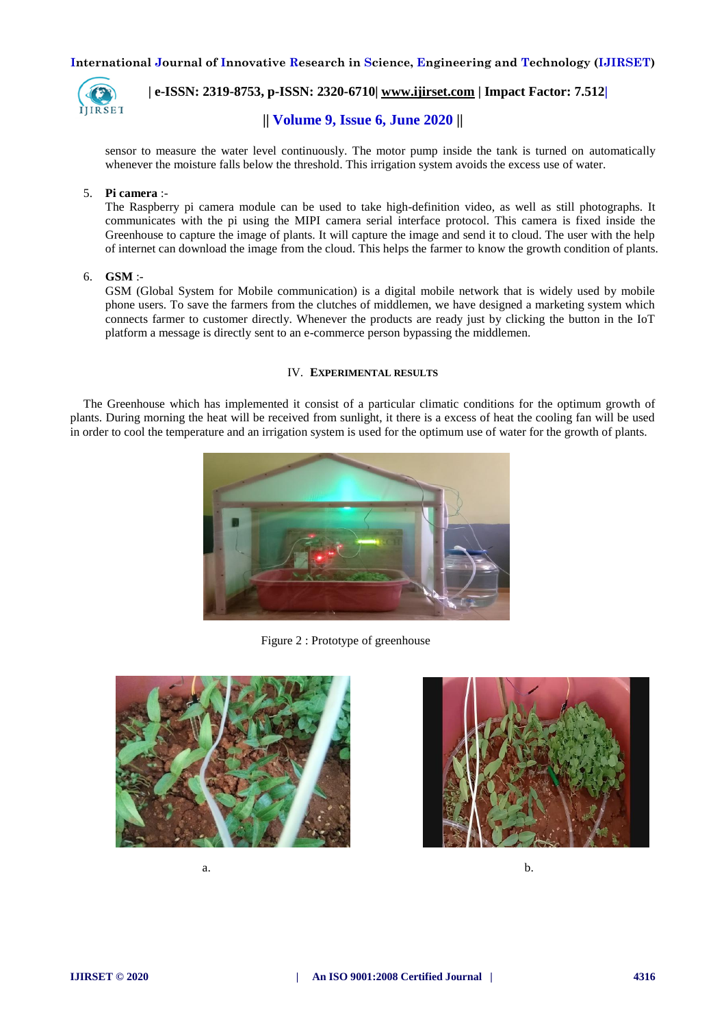

 **| e-ISSN: 2319-8753, p-ISSN: 2320-6710| [www.ijirset.com](http://www.ijirset.com/) | Impact Factor: 7.512|**

# **|| Volume 9, Issue 6, June 2020 ||**

sensor to measure the water level continuously. The motor pump inside the tank is turned on automatically whenever the moisture falls below the threshold. This irrigation system avoids the excess use of water.

#### 5. **Pi camera** :-

The Raspberry pi camera module can be used to take high-definition video, as well as still photographs. It communicates with the pi using the MIPI camera serial interface protocol. This camera is fixed inside the Greenhouse to capture the image of plants. It will capture the image and send it to cloud. The user with the help of internet can download the image from the cloud. This helps the farmer to know the growth condition of plants.

#### 6. **GSM** :-

GSM (Global System for Mobile communication) is a digital mobile network that is widely used by mobile phone users. To save the farmers from the clutches of middlemen, we have designed a marketing system which connects farmer to customer directly. Whenever the products are ready just by clicking the button in the IoT platform a message is directly sent to an e-commerce person bypassing the middlemen.

#### IV. **EXPERIMENTAL RESULTS**

The Greenhouse which has implemented it consist of a particular climatic conditions for the optimum growth of plants. During morning the heat will be received from sunlight, it there is a excess of heat the cooling fan will be used in order to cool the temperature and an irrigation system is used for the optimum use of water for the growth of plants.



Figure 2 : Prototype of greenhouse







a.  $\mathbf{b}$ .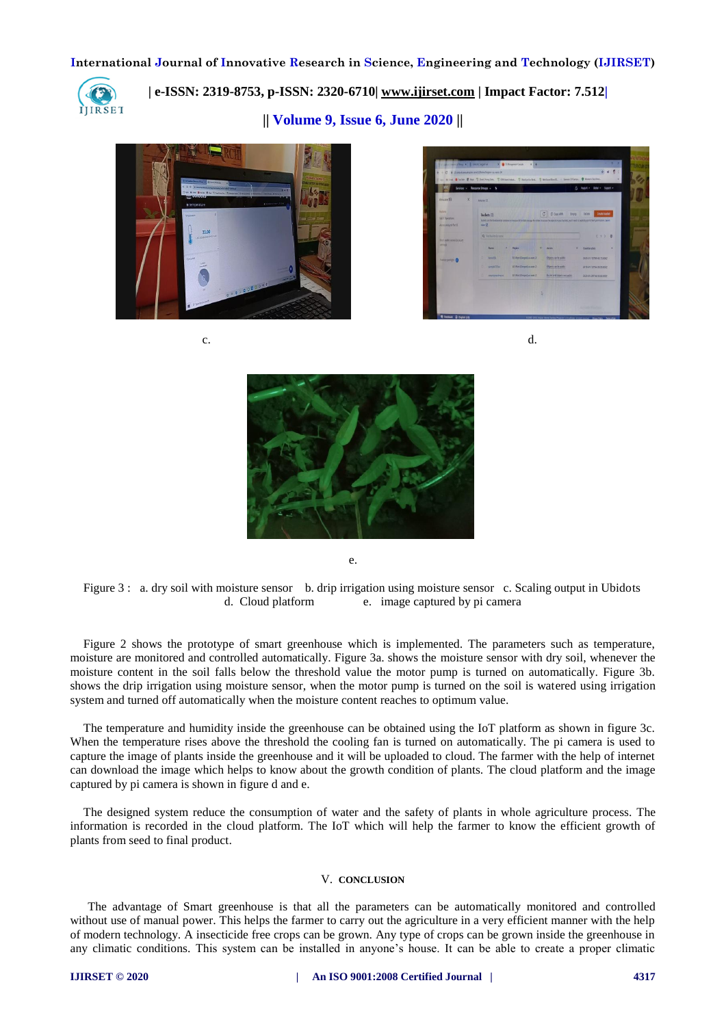

 **| e-ISSN: 2319-8753, p-ISSN: 2320-6710| [www.ijirset.com](http://www.ijirset.com/) | Impact Factor: 7.512|**

**|| Volume 9, Issue 6, June 2020 ||** 





 $c.$  d.



e.

Figure 3 : a. dry soil with moisture sensor b. drip irrigation using moisture sensor c. Scaling output in Ubidots d. Cloud platform e. image captured by pi camera

Figure 2 shows the prototype of smart greenhouse which is implemented. The parameters such as temperature, moisture are monitored and controlled automatically. Figure 3a. shows the moisture sensor with dry soil, whenever the moisture content in the soil falls below the threshold value the motor pump is turned on automatically. Figure 3b. shows the drip irrigation using moisture sensor, when the motor pump is turned on the soil is watered using irrigation system and turned off automatically when the moisture content reaches to optimum value.

The temperature and humidity inside the greenhouse can be obtained using the IoT platform as shown in figure 3c. When the temperature rises above the threshold the cooling fan is turned on automatically. The pi camera is used to capture the image of plants inside the greenhouse and it will be uploaded to cloud. The farmer with the help of internet can download the image which helps to know about the growth condition of plants. The cloud platform and the image captured by pi camera is shown in figure d and e.

The designed system reduce the consumption of water and the safety of plants in whole agriculture process. The information is recorded in the cloud platform. The IoT which will help the farmer to know the efficient growth of plants from seed to final product.

#### V. **CONCLUSION**

The advantage of Smart greenhouse is that all the parameters can be automatically monitored and controlled without use of manual power. This helps the farmer to carry out the agriculture in a very efficient manner with the help of modern technology. A insecticide free crops can be grown. Any type of crops can be grown inside the greenhouse in any climatic conditions. This system can be installed in anyone's house. It can be able to create a proper climatic